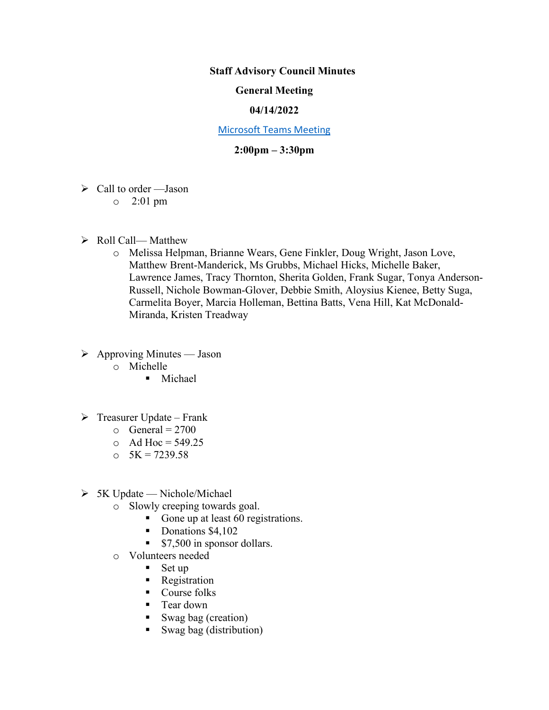### **Staff Advisory Council Minutes**

## **General Meeting**

## **04/14/2022**

#### [Microsoft Teams Meeting](https://nam05.safelinks.protection.outlook.com/ap/t-59584e83/?url=https%3A%2F%2Fteams.microsoft.com%2Fl%2Fmeetup-join%2F19%253ameeting_MzkxMmQzZTYtNGNiMi00YTJjLWI3MTMtOTlhMmNmOTE4Zjhj%2540thread.v2%2F0%3Fcontext%3D%257b%2522Tid%2522%253a%252260a9d377-c827-41a1-bbf0-1aad34db4c89%2522%252c%2522Oid%2522%253a%2522d493b17b-9cb3-43b8-b2df-d22f32aad747%2522%257d&data=02%7C01%7Cakienee1%40cscc.edu%7Cd9d721b99f4d408c215208d7647bc8db%7C60a9d377c82741a1bbf01aad34db4c89%7C0%7C0%7C637088355127916457&sdata=hlB7BeFFj4%2Fu5SHTbph%2BpYbfXevGFZ5zd4DxSsQlyzY%3D&reserved=0)

## **2:00pm – 3:30pm**

- $\triangleright$  Call to order —Jason
	- o 2:01 pm
- $\triangleright$  Roll Call— Matthew
	- o Melissa Helpman, Brianne Wears, Gene Finkler, Doug Wright, Jason Love, Matthew Brent-Manderick, Ms Grubbs, Michael Hicks, Michelle Baker, Lawrence James, Tracy Thornton, Sherita Golden, Frank Sugar, Tonya Anderson-Russell, Nichole Bowman-Glover, Debbie Smith, Aloysius Kienee, Betty Suga, Carmelita Boyer, Marcia Holleman, Bettina Batts, Vena Hill, Kat McDonald-Miranda, Kristen Treadway
- $\triangleright$  Approving Minutes Jason
	- o Michelle
		- **Michael**
- $\triangleright$  Treasurer Update Frank
	- $\circ$  General = 2700
	- $O$  Ad Hoc = 549.25
	- $\text{o}$  5K = 7239.58
- $> 5K$  Update Nichole/Michael
	- o Slowly creeping towards goal.
		- Gone up at least 60 registrations.
		- Donations \$4,102
		- **S7,500** in sponsor dollars.
	- o Volunteers needed
		- $Set up$
		- **Registration**
		- Course folks
		- Tear down
		- Swag bag (creation)
		- Swag bag (distribution)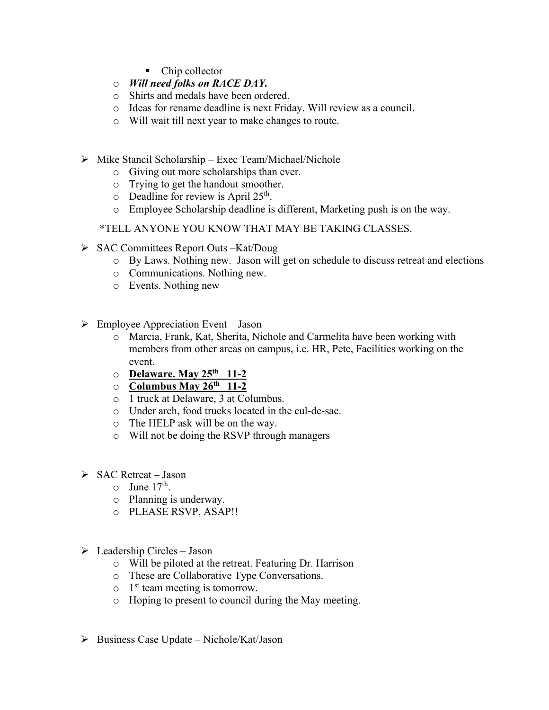- Chip collector
- o *Will need folks on RACE DAY.*
- o Shirts and medals have been ordered.
- o Ideas for rename deadline is next Friday. Will review as a council.
- o Will wait till next year to make changes to route.
- $\triangleright$  Mike Stancil Scholarship Exec Team/Michael/Nichole
	- o Giving out more scholarships than ever.
	- o Trying to get the handout smoother.
	- $\circ$  Deadline for review is April 25<sup>th</sup>.
	- o Employee Scholarship deadline is different, Marketing push is on the way.
	- \*TELL ANYONE YOU KNOW THAT MAY BE TAKING CLASSES.
- SAC Committees Report Outs –Kat/Doug
	- o By Laws. Nothing new. Jason will get on schedule to discuss retreat and elections
	- o Communications. Nothing new.
	- o Events. Nothing new
- $\triangleright$  Employee Appreciation Event Jason
	- o Marcia, Frank, Kat, Sherita, Nichole and Carmelita have been working with members from other areas on campus, i.e. HR, Pete, Facilities working on the event.
	- o **Delaware. May 25th 11-2**
	- o **Columbus May 26th 11-2**
	- o 1 truck at Delaware, 3 at Columbus.
	- o Under arch, food trucks located in the cul-de-sac.
	- o The HELP ask will be on the way.
	- o Will not be doing the RSVP through managers
- $\triangleright$  SAC Retreat Jason
	- $\circ$  June 17<sup>th</sup>.
	- o Planning is underway.
	- o PLEASE RSVP, ASAP!!
- $\triangleright$  Leadership Circles Jason
	- o Will be piloted at the retreat. Featuring Dr. Harrison
	- o These are Collaborative Type Conversations.
	- $\circ$  1<sup>st</sup> team meeting is tomorrow.
	- o Hoping to present to council during the May meeting.
- $\triangleright$  Business Case Update Nichole/Kat/Jason